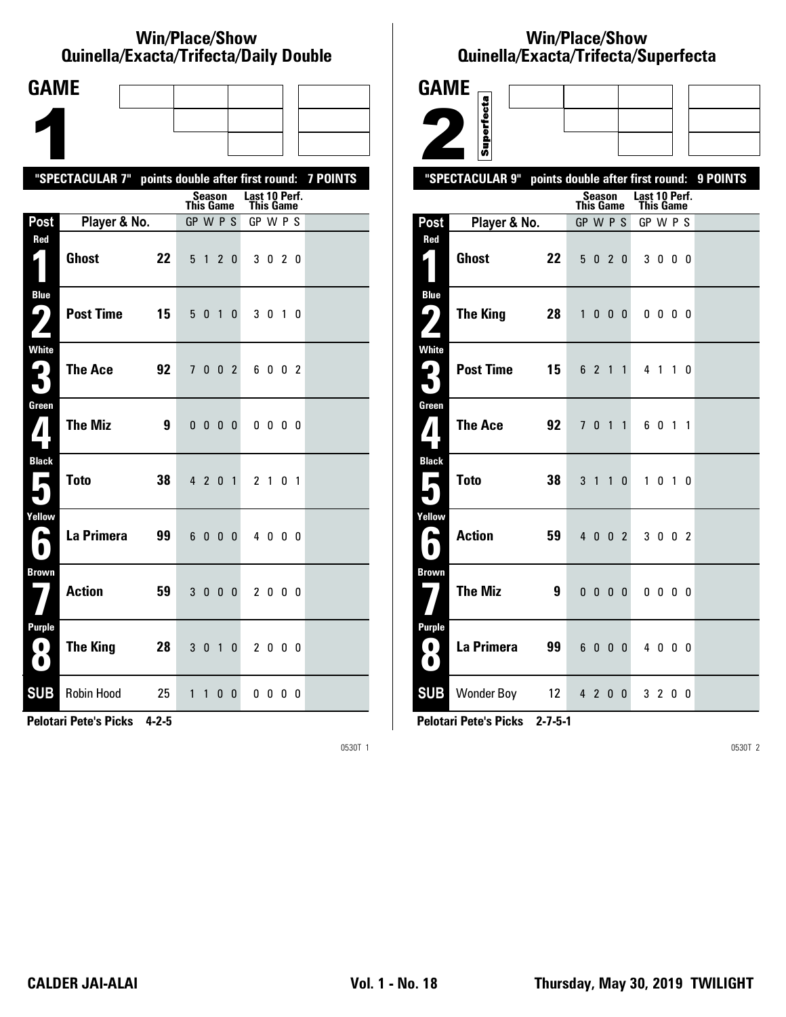#### **Win/Place/Show Quinella/Exacta/Trifecta/Daily Double**

| <b>GAME</b>                                |                                                           |                                                 |          |                       |  |  |
|--------------------------------------------|-----------------------------------------------------------|-------------------------------------------------|----------|-----------------------|--|--|
|                                            |                                                           |                                                 |          |                       |  |  |
|                                            |                                                           |                                                 |          |                       |  |  |
|                                            | "SPECTACULAR 7" points double after first round: 7 POINTS |                                                 |          |                       |  |  |
|                                            |                                                           | <b>Season</b>                                   |          | Last 10 Perf.         |  |  |
| Post                                       | Player & No.                                              | This Game<br>GP W P S                           |          | This Game<br>GP W P S |  |  |
| Red                                        |                                                           |                                                 |          |                       |  |  |
| $\zeta$                                    | <b>Ghost</b><br>22                                        | 5 1 2 0                                         |          | 3 0 2 0               |  |  |
| <b>Blue</b><br>5<br>$\mathbf{z}$           | <b>Post Time</b><br>15                                    | 5 <sub>0</sub><br>$\overline{1}$                | 0        | 3 0 1 0               |  |  |
| White<br>$\mathbf{f}$                      | <b>The Ace</b><br>92                                      | 7 <sup>7</sup><br>$\mathbf 0$<br>0 <sub>2</sub> |          | 6002                  |  |  |
| Green<br>$\mathbf{Z}$                      | <b>The Miz</b><br>9                                       | $0\quad 0\quad 0\quad 0$                        |          | $0\,0\,0\,0$          |  |  |
| <b>Black</b><br>$\blacksquare$             | <b>Toto</b><br>38                                         | 4 2 0 1                                         |          | 2 1 0 1               |  |  |
| Yellow<br>►                                | La Primera<br>99                                          | 6 0<br>0 <sub>0</sub>                           |          | 4000                  |  |  |
| <b>Brown</b>                               | <b>Action</b><br>59                                       | 3000                                            |          | 2000                  |  |  |
| Purple<br>$\left\vert 0\right\rangle$<br>O | <b>The King</b><br>28                                     | 3 <sub>0</sub><br>$\overline{1}$                | $\bf{0}$ | 2000                  |  |  |
| <b>SUB</b>                                 | <b>Robin Hood</b><br>25                                   | $\mathbf{1}$<br>1<br>0                          | 0        | $0\,0\,0\,0$          |  |  |

**Pelotari Pete's Picks 4-2-5**

0530T 1

## **Win/Place/Show Qui nel la/Exacta/Tri fecta/Super fecta**



**Pelotari Pete's Picks 2-7-5-1**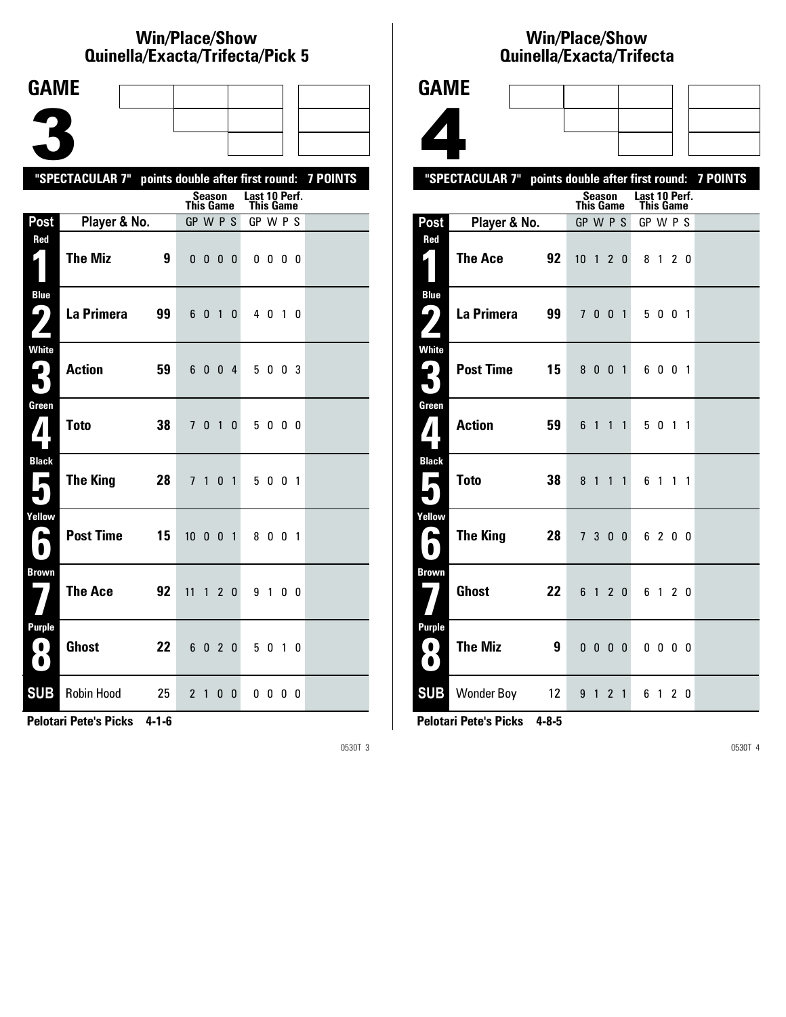#### **Win/Place/Show Qui nel la/Exacta/Tri fecta/Pick 5**

| <b>GAME</b>                                     |                                                           |    |                  |              |                |                |               |              |                |  |
|-------------------------------------------------|-----------------------------------------------------------|----|------------------|--------------|----------------|----------------|---------------|--------------|----------------|--|
|                                                 |                                                           |    |                  |              |                |                |               |              |                |  |
|                                                 |                                                           |    |                  |              |                |                |               |              |                |  |
|                                                 |                                                           |    |                  |              |                |                |               |              |                |  |
|                                                 | "SPECTACULAR 7" points double after first round: 7 POINTS |    |                  | Season       |                |                | Last 10 Perf. |              |                |  |
|                                                 |                                                           |    | <b>This Game</b> |              |                |                | This Game     |              |                |  |
| Post<br>Red                                     | Player & No.                                              |    | GP W P S         |              |                |                | GP W P S      |              |                |  |
| $\zeta$                                         | <b>The Miz</b>                                            | 9  | 0 <sub>0</sub>   |              | $\mathbf{0}$   | 0              |               | $0\,0\,0\,0$ |                |  |
| <b>Blue</b><br>ر ما                             | La Primera                                                | 99 | 6                | $\mathbf{0}$ | 1              | $\mathbf{0}$   |               | 4 0 1 0      |                |  |
| White<br>3                                      | <b>Action</b>                                             | 59 | 6                | 0            | $\mathbf{0}$   | 4              |               | 5 0 0 3      |                |  |
| Green<br>$\mathbf{V}$                           | <b>Toto</b>                                               | 38 | 7 <sub>0</sub>   |              | $\overline{1}$ | 0              |               | 5000         |                |  |
| <b>Black</b><br>$\blacksquare$                  | <b>The King</b>                                           | 28 | 7 <sub>1</sub>   |              | $\mathbf{0}$   | $\overline{1}$ |               | 5 0 0 1      |                |  |
| Yellow<br>ß.                                    | <b>Post Time</b>                                          | 15 | 10 <sub>0</sub>  |              | 0 <sub>1</sub> |                | 8             | 001          |                |  |
| <b>Brown</b>                                    | <b>The Ace</b>                                            | 92 | 11               | $\mathbf{1}$ | $\mathbf{2}$   | $\mathbf{0}$   |               | 9 1 0 0      |                |  |
| <b>Purple</b><br>$\left( 0\right)$<br>$\bullet$ | <b>Ghost</b>                                              | 22 | 6                |              | 020            |                |               | 5 0 1 0      |                |  |
| <b>SUB</b>                                      | <b>Robin Hood</b>                                         | 25 | $\mathbf{2}$     | $\mathbf{1}$ | $0\quad 0$     |                |               | 00           | 0 <sub>0</sub> |  |

**Pelotari Pete's Picks 4-1-6**

0530T 3

# **Win/Place/Show Qui nel la/Exacta/Tri fecta**



|                                      | "SPECTACULAR 7" points double after first round: 7 POINTS |    |                  |                          |                |                |                                   |              |                |  |
|--------------------------------------|-----------------------------------------------------------|----|------------------|--------------------------|----------------|----------------|-----------------------------------|--------------|----------------|--|
|                                      |                                                           |    | <b>This Game</b> | <b>Season</b>            |                |                | Last 10 Perf.<br><b>This Game</b> |              |                |  |
| Post                                 | Player & No.                                              |    | GP W P S         |                          |                |                | GP W P S                          |              |                |  |
| Red                                  |                                                           |    |                  |                          |                |                |                                   |              |                |  |
| $\overline{\phantom{a}}$             | The Ace                                                   | 92 | $10$ 1 2 0       |                          |                |                |                                   | 8 1 2 0      |                |  |
| <b>Blue</b>                          |                                                           |    |                  |                          |                |                |                                   |              |                |  |
| 2                                    | La Primera                                                | 99 |                  | 7 0 0 1                  |                |                |                                   | 5 0 0 1      |                |  |
| <b>White</b>                         |                                                           |    |                  |                          |                |                |                                   |              |                |  |
| 3                                    | <b>Post Time</b>                                          | 15 |                  | 8 0 0 1                  |                |                |                                   | 6001         |                |  |
| Green                                |                                                           |    |                  |                          |                |                |                                   |              |                |  |
| $\boldsymbol{I}$                     | <b>Action</b>                                             | 59 |                  | 6 1 1 1                  |                |                |                                   | 5 0 1 1      |                |  |
| <b>Black</b>                         |                                                           |    |                  |                          |                |                |                                   |              |                |  |
| $\blacksquare$<br>1                  | <b>Toto</b>                                               | 38 |                  | 8 1 1 1                  |                |                |                                   | 6 1 1 1      |                |  |
| Yellow                               |                                                           |    |                  |                          |                |                |                                   |              |                |  |
| <b>A</b><br>$\bullet$                | <b>The King</b>                                           | 28 |                  | 7 3 0 0                  |                |                |                                   | 6 2 0 0      |                |  |
| <b>Brown</b>                         |                                                           |    |                  |                          |                |                |                                   |              |                |  |
|                                      | <b>Ghost</b>                                              | 22 |                  | 6 1 2 0                  |                |                |                                   | 6 1 2 0      |                |  |
| <b>Purple</b>                        |                                                           |    |                  |                          |                |                |                                   |              |                |  |
| $\overline{\mathbf{O}}$<br>$\bullet$ | <b>The Miz</b>                                            | 9  |                  | $0\quad 0\quad 0\quad 0$ |                |                |                                   | $0\ 0\ 0\ 0$ |                |  |
|                                      | <b>SUB</b> Wonder Boy                                     | 12 |                  | 9 1                      | $\overline{2}$ | $\overline{1}$ | 6                                 | $\mathbf{1}$ | 2 <sub>0</sub> |  |

**Pelotari Pete's Picks 4-8-5**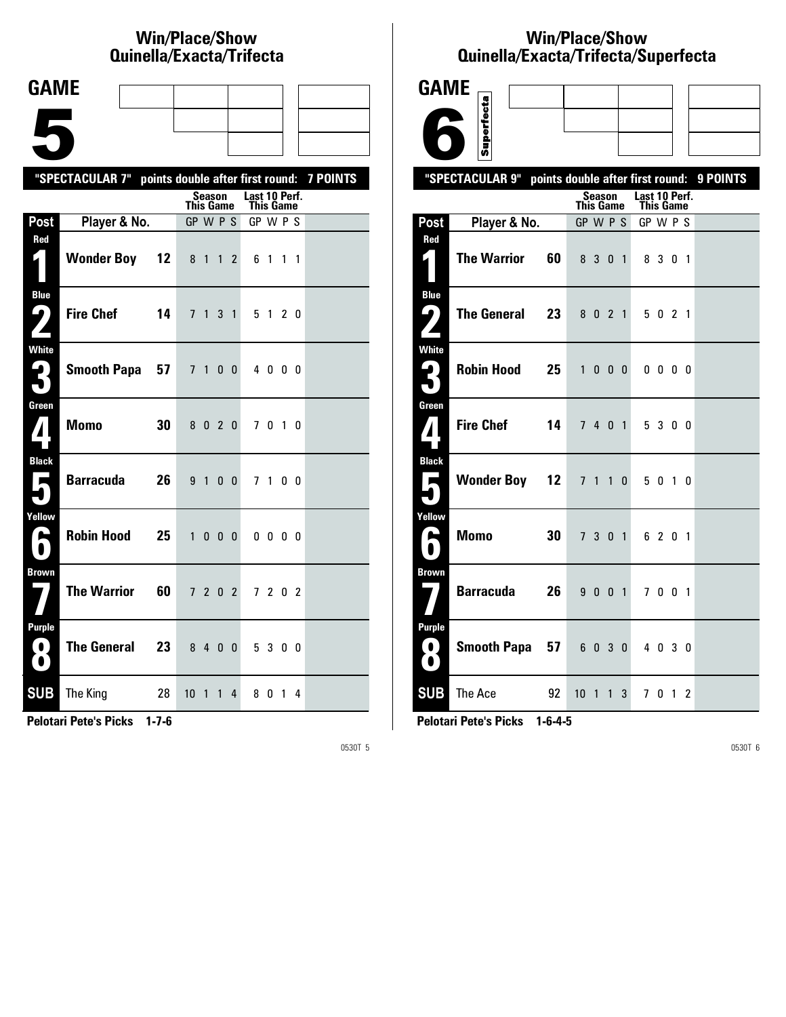## **Win/Place/Show Qui nel la/Exacta/Tri fecta**

| "SPECTACULAR 7" points double after first round: 7 POINTS<br>Last 10 Perf.<br>Season<br>This Game<br>This Game<br>Post<br>Player & No.<br>GP W P S<br>GP W P S<br>Red<br>1<br><b>Wonder Boy</b><br>12<br>8 1 1 2<br>6 1 1 1<br><b>Blue</b><br>$\mathsf{L}_{\bm{\ell}}$ )<br><b>Fire Chef</b><br>14<br>7 <sub>1</sub><br>3 <sub>1</sub><br>5 1 2 0<br>Z.<br>White<br>3<br><b>Smooth Papa 57</b><br>7 1 0 0<br>4000<br>Green<br><b>Momo</b><br>30<br>8020<br>7 0 1 0<br>$\mathbf{Z}$<br><b>Black</b><br><b>Barracuda</b><br>26<br>$\overline{\phantom{a}}$<br>9 1 0 0<br>7 1 0 0<br>٠<br>Yellow<br>N<br><b>Robin Hood</b><br>25<br>$\mathbf{1}$<br>$0\quad 0\quad 0\quad$<br>$0\,0\,0\,0$<br>$\blacksquare$<br><b>Brown</b><br><b>The Warrior</b><br>60<br>7 2 0 2<br>7 2 0 2<br>Purple | <b>GAME</b>                     |                          |         |         |  |
|---------------------------------------------------------------------------------------------------------------------------------------------------------------------------------------------------------------------------------------------------------------------------------------------------------------------------------------------------------------------------------------------------------------------------------------------------------------------------------------------------------------------------------------------------------------------------------------------------------------------------------------------------------------------------------------------------------------------------------------------------------------------------------------|---------------------------------|--------------------------|---------|---------|--|
|                                                                                                                                                                                                                                                                                                                                                                                                                                                                                                                                                                                                                                                                                                                                                                                       |                                 |                          |         |         |  |
|                                                                                                                                                                                                                                                                                                                                                                                                                                                                                                                                                                                                                                                                                                                                                                                       |                                 |                          |         |         |  |
|                                                                                                                                                                                                                                                                                                                                                                                                                                                                                                                                                                                                                                                                                                                                                                                       |                                 |                          |         |         |  |
|                                                                                                                                                                                                                                                                                                                                                                                                                                                                                                                                                                                                                                                                                                                                                                                       |                                 |                          |         |         |  |
|                                                                                                                                                                                                                                                                                                                                                                                                                                                                                                                                                                                                                                                                                                                                                                                       |                                 |                          |         |         |  |
|                                                                                                                                                                                                                                                                                                                                                                                                                                                                                                                                                                                                                                                                                                                                                                                       |                                 |                          |         |         |  |
|                                                                                                                                                                                                                                                                                                                                                                                                                                                                                                                                                                                                                                                                                                                                                                                       |                                 |                          |         |         |  |
|                                                                                                                                                                                                                                                                                                                                                                                                                                                                                                                                                                                                                                                                                                                                                                                       |                                 |                          |         |         |  |
|                                                                                                                                                                                                                                                                                                                                                                                                                                                                                                                                                                                                                                                                                                                                                                                       |                                 |                          |         |         |  |
|                                                                                                                                                                                                                                                                                                                                                                                                                                                                                                                                                                                                                                                                                                                                                                                       |                                 |                          |         |         |  |
|                                                                                                                                                                                                                                                                                                                                                                                                                                                                                                                                                                                                                                                                                                                                                                                       |                                 |                          |         |         |  |
|                                                                                                                                                                                                                                                                                                                                                                                                                                                                                                                                                                                                                                                                                                                                                                                       |                                 |                          |         |         |  |
| $\blacksquare$                                                                                                                                                                                                                                                                                                                                                                                                                                                                                                                                                                                                                                                                                                                                                                        | $\boldsymbol{\left( 0\right) }$ | <b>The General</b><br>23 | 8 4 0 0 | 5 3 0 0 |  |
| <b>SUB</b><br>The King<br>28<br>$10-10$<br>4<br>0<br>$\mathbf{1}$<br>$\mathbf{1}$<br>8<br>$\mathbf{1}$<br>4                                                                                                                                                                                                                                                                                                                                                                                                                                                                                                                                                                                                                                                                           |                                 |                          |         |         |  |

**Pelotari Pete's Picks 1-7-6**

0530T 5

## **Win/Place/Show Qui nel la/Exacta/Tri fecta/Super fecta**

| <b>GAME</b>                                  |                                                  |                                   |                                   |          |
|----------------------------------------------|--------------------------------------------------|-----------------------------------|-----------------------------------|----------|
|                                              | Superfecta                                       |                                   |                                   |          |
|                                              |                                                  |                                   |                                   |          |
|                                              | "SPECTACULAR 9" points double after first round: |                                   |                                   | 9 POINTS |
|                                              |                                                  | <b>Season</b><br><b>This Game</b> | Last 10 Perf.<br><b>This Game</b> |          |
| Post                                         | Player & No.                                     | GP W P S                          | GP W P S                          |          |
| Red                                          | <b>The Warrior</b><br>60                         | 8 3 0<br>$\overline{1}$           | 8 3<br>0 <sub>1</sub>             |          |
| <b>Blue</b><br>$\mathsf{L}_{\bullet}$ )      | <b>The General</b><br>23                         | 8 0 2 1                           | 5 0 2 1                           |          |
| <b>White</b>                                 | <b>Robin Hood</b><br>25                          | 1<br>$0\quad 0\quad 0$            | $0\quad 0\quad 0\quad 0$          |          |
| Green<br>$\boldsymbol{I}$                    | <b>Fire Chef</b><br>14                           | 7 4 0 1                           | 5 3 0 0                           |          |
| <b>Black</b><br>Е                            | <b>Wonder Boy 12</b>                             | 7 1 1<br>$\mathbf{0}$             | 50<br>10                          |          |
| Yellow<br>А<br>$\blacksquare$                | <b>Momo</b><br>30                                | 7 3 0 1                           | 6 2 0 1                           |          |
| <b>Brown</b>                                 | <b>Barracuda</b><br>26                           | 9001                              | 7001                              |          |
| <b>Purple</b><br>$\blacksquare$<br>$\bullet$ | <b>Smooth Papa</b><br>57                         | 6 0 3<br>$\mathbf{0}$             | 4 0 3 0                           |          |
| <b>SUB</b>                                   | The Ace<br>92                                    | $10 \t1 \t1$<br>3                 | 7012                              |          |

**Pelotari Pete's Picks 1-6-4-5**